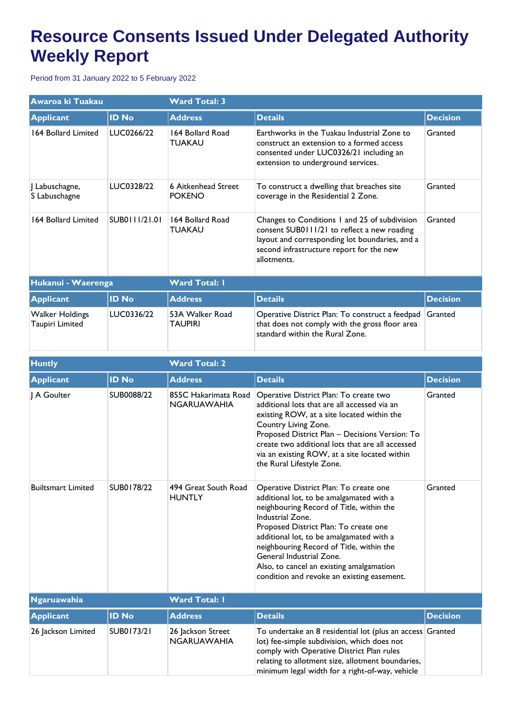## **Resource Consents Issued Under Delegated Authority Weekly Report**

Period from 31 January 2022 to 5 February 2022

| Awaroa ki Tuakau                          |               | <b>Ward Total: 3</b>                 |                                                                                                                                                                                                           |                 |  |
|-------------------------------------------|---------------|--------------------------------------|-----------------------------------------------------------------------------------------------------------------------------------------------------------------------------------------------------------|-----------------|--|
| <b>Applicant</b>                          | <b>ID No</b>  | <b>Address</b>                       | <b>Details</b>                                                                                                                                                                                            | <b>Decision</b> |  |
| 164 Bollard Limited                       | LUC0266/22    | 164 Bollard Road<br><b>TUAKAU</b>    | Earthworks in the Tuakau Industrial Zone to<br>construct an extension to a formed access<br>consented under LUC0326/21 including an<br>extension to underground services.                                 | Granted         |  |
| J Labuschagne,<br>S Labuschagne           | LUC0328/22    | 6 Aitkenhead Street<br><b>POKENO</b> | To construct a dwelling that breaches site<br>coverage in the Residential 2 Zone.                                                                                                                         | Granted         |  |
| 164 Bollard Limited                       | SUB0111/21.01 | 164 Bollard Road<br><b>TUAKAU</b>    | Changes to Conditions 1 and 25 of subdivision<br>consent SUB0111/21 to reflect a new roading<br>layout and corresponding lot boundaries, and a<br>second infrastructure report for the new<br>allotments. | Granted         |  |
| Hukanui - Waerenga                        |               | <b>Ward Total: I</b>                 |                                                                                                                                                                                                           |                 |  |
| <b>Applicant</b>                          | <b>ID No</b>  | <b>Address</b>                       | <b>Details</b>                                                                                                                                                                                            | <b>Decision</b> |  |
| <b>Walker Holdings</b><br>Taupiri Limited | LUC0336/22    | 53A Walker Road<br><b>TAUPIRI</b>    | Operative District Plan: To construct a feedpad<br>that does not comply with the gross floor area<br>standard within the Rural Zone.                                                                      | Granted         |  |

| <b>Huntly</b>             |              | <b>Ward Total: 2</b>                       |                                                                                                                                                                                                                                                                                                                                                                                                           |                 |  |
|---------------------------|--------------|--------------------------------------------|-----------------------------------------------------------------------------------------------------------------------------------------------------------------------------------------------------------------------------------------------------------------------------------------------------------------------------------------------------------------------------------------------------------|-----------------|--|
| <b>Applicant</b>          | <b>ID No</b> | <b>Address</b>                             | <b>Details</b>                                                                                                                                                                                                                                                                                                                                                                                            | <b>Decision</b> |  |
| I A Goulter               | SUB0088/22   | 855C Hakarimata Road<br><b>NGARUAWAHIA</b> | Operative District Plan: To create two<br>additional lots that are all accessed via an<br>existing ROW, at a site located within the<br>Country Living Zone.<br>Proposed District Plan - Decisions Version: To<br>create two additional lots that are all accessed<br>via an existing ROW, at a site located within<br>the Rural Lifestyle Zone.                                                          | Granted         |  |
| <b>Builtsmart Limited</b> | SUB0178/22   | 494 Great South Road<br><b>HUNTLY</b>      | Operative District Plan: To create one<br>additional lot, to be amalgamated with a<br>neighbouring Record of Title, within the<br>Industrial Zone.<br>Proposed District Plan: To create one<br>additional lot, to be amalgamated with a<br>neighbouring Record of Title, within the<br>General Industrial Zone.<br>Also, to cancel an existing amalgamation<br>condition and revoke an existing easement. | Granted         |  |
| <b>Ngaruawahia</b>        |              | <b>Ward Total: I</b>                       |                                                                                                                                                                                                                                                                                                                                                                                                           |                 |  |
| <b>Applicant</b>          | <b>ID No</b> | <b>Address</b>                             | <b>Details</b>                                                                                                                                                                                                                                                                                                                                                                                            | <b>Decision</b> |  |
| 26 Jackson Limited        | SUB0173/21   | 26 Jackson Street<br><b>NGARUAWAHIA</b>    | To undertake an 8 residential lot (plus an access Granted<br>lot) fee-simple subdivision, which does not<br>comply with Operative District Plan rules<br>relating to allotment size, allotment boundaries,<br>minimum legal width for a right-of-way, vehicle                                                                                                                                             |                 |  |